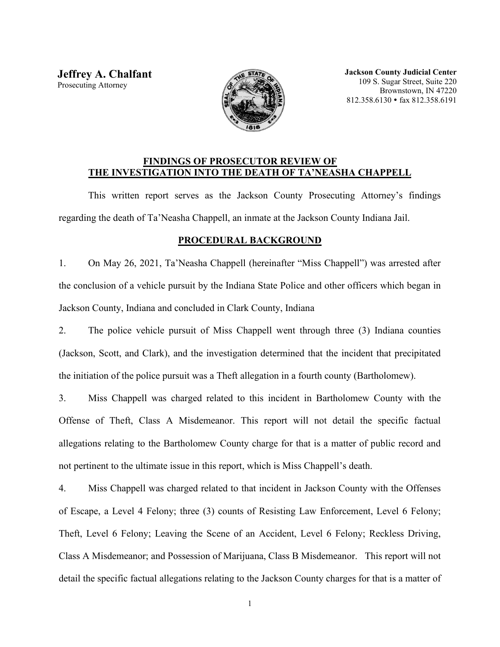**Jeffrey A. Chalfant** Prosecuting Attorney



**Jackson County Judicial Center** 109 S. Sugar Street, Suite 220 Brownstown, IN 47220 812.358.6130 fax 812.358.6191

## **FINDINGS OF PROSECUTOR REVIEW OF THE INVESTIGATION INTO THE DEATH OF TA'NEASHA CHAPPELL**

This written report serves as the Jackson County Prosecuting Attorney's findings regarding the death of Ta'Neasha Chappell, an inmate at the Jackson County Indiana Jail.

## **PROCEDURAL BACKGROUND**

1. On May 26, 2021, Ta'Neasha Chappell (hereinafter "Miss Chappell") was arrested after the conclusion of a vehicle pursuit by the Indiana State Police and other officers which began in Jackson County, Indiana and concluded in Clark County, Indiana

2. The police vehicle pursuit of Miss Chappell went through three (3) Indiana counties (Jackson, Scott, and Clark), and the investigation determined that the incident that precipitated the initiation of the police pursuit was a Theft allegation in a fourth county (Bartholomew).

3. Miss Chappell was charged related to this incident in Bartholomew County with the Offense of Theft, Class A Misdemeanor. This report will not detail the specific factual allegations relating to the Bartholomew County charge for that is a matter of public record and not pertinent to the ultimate issue in this report, which is Miss Chappell's death.

4. Miss Chappell was charged related to that incident in Jackson County with the Offenses of Escape, a Level 4 Felony; three (3) counts of Resisting Law Enforcement, Level 6 Felony; Theft, Level 6 Felony; Leaving the Scene of an Accident, Level 6 Felony; Reckless Driving, Class A Misdemeanor; and Possession of Marijuana, Class B Misdemeanor. This report will not detail the specific factual allegations relating to the Jackson County charges for that is a matter of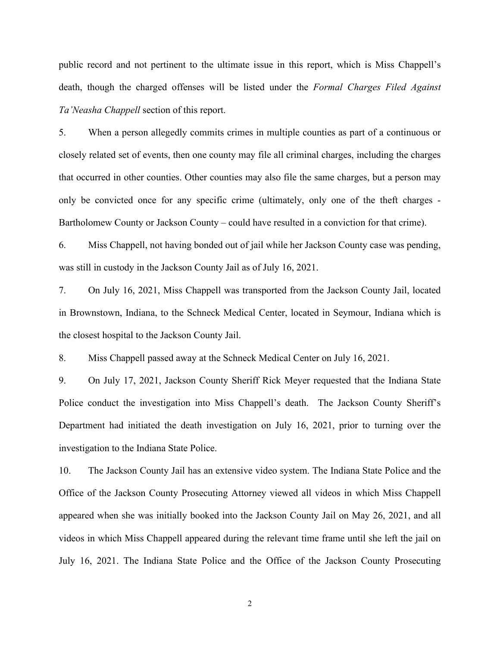public record and not pertinent to the ultimate issue in this report, which is Miss Chappell's death, though the charged offenses will be listed under the *Formal Charges Filed Against Ta'Neasha Chappell* section of this report.

5. When a person allegedly commits crimes in multiple counties as part of a continuous or closely related set of events, then one county may file all criminal charges, including the charges that occurred in other counties. Other counties may also file the same charges, but a person may only be convicted once for any specific crime (ultimately, only one of the theft charges - Bartholomew County or Jackson County – could have resulted in a conviction for that crime).

6. Miss Chappell, not having bonded out of jail while her Jackson County case was pending, was still in custody in the Jackson County Jail as of July 16, 2021.

7. On July 16, 2021, Miss Chappell was transported from the Jackson County Jail, located in Brownstown, Indiana, to the Schneck Medical Center, located in Seymour, Indiana which is the closest hospital to the Jackson County Jail.

8. Miss Chappell passed away at the Schneck Medical Center on July 16, 2021.

9. On July 17, 2021, Jackson County Sheriff Rick Meyer requested that the Indiana State Police conduct the investigation into Miss Chappell's death. The Jackson County Sheriff's Department had initiated the death investigation on July 16, 2021, prior to turning over the investigation to the Indiana State Police.

10. The Jackson County Jail has an extensive video system. The Indiana State Police and the Office of the Jackson County Prosecuting Attorney viewed all videos in which Miss Chappell appeared when she was initially booked into the Jackson County Jail on May 26, 2021, and all videos in which Miss Chappell appeared during the relevant time frame until she left the jail on July 16, 2021. The Indiana State Police and the Office of the Jackson County Prosecuting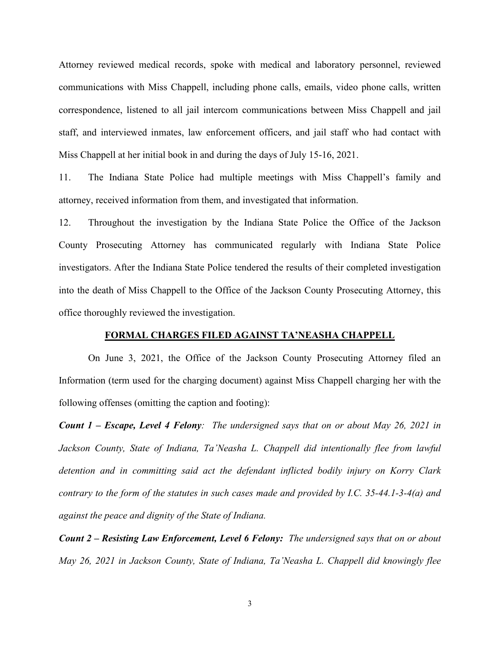Attorney reviewed medical records, spoke with medical and laboratory personnel, reviewed communications with Miss Chappell, including phone calls, emails, video phone calls, written correspondence, listened to all jail intercom communications between Miss Chappell and jail staff, and interviewed inmates, law enforcement officers, and jail staff who had contact with Miss Chappell at her initial book in and during the days of July 15-16, 2021.

11. The Indiana State Police had multiple meetings with Miss Chappell's family and attorney, received information from them, and investigated that information.

12. Throughout the investigation by the Indiana State Police the Office of the Jackson County Prosecuting Attorney has communicated regularly with Indiana State Police investigators. After the Indiana State Police tendered the results of their completed investigation into the death of Miss Chappell to the Office of the Jackson County Prosecuting Attorney, this office thoroughly reviewed the investigation.

#### **FORMAL CHARGES FILED AGAINST TA'NEASHA CHAPPELL**

On June 3, 2021, the Office of the Jackson County Prosecuting Attorney filed an Information (term used for the charging document) against Miss Chappell charging her with the following offenses (omitting the caption and footing):

*Count 1 – Escape, Level 4 Felony: The undersigned says that on or about May 26, 2021 in*  Jackson County, State of Indiana, Ta'Neasha L. Chappell did intentionally flee from lawful *detention and in committing said act the defendant inflicted bodily injury on Korry Clark contrary to the form of the statutes in such cases made and provided by I.C. 35-44.1-3-4(a) and against the peace and dignity of the State of Indiana.*

*Count 2 – Resisting Law Enforcement, Level 6 Felony: The undersigned says that on or about May 26, 2021 in Jackson County, State of Indiana, Ta'Neasha L. Chappell did knowingly flee*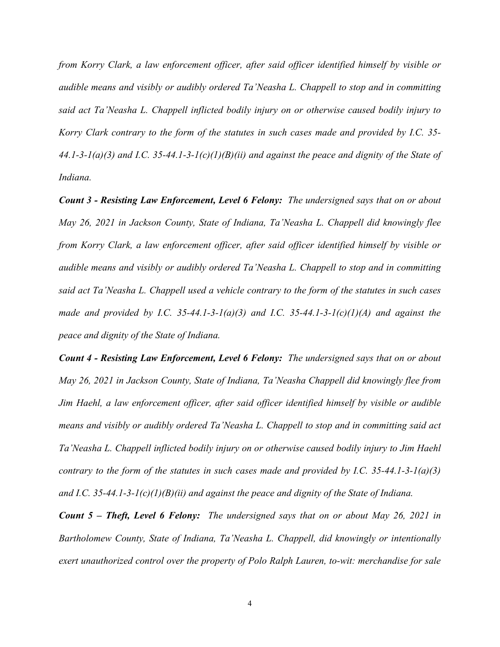*from Korry Clark, a law enforcement officer, after said officer identified himself by visible or audible means and visibly or audibly ordered Ta'Neasha L. Chappell to stop and in committing said act Ta'Neasha L. Chappell inflicted bodily injury on or otherwise caused bodily injury to Korry Clark contrary to the form of the statutes in such cases made and provided by I.C. 35- 44.1-3-1(a)(3) and I.C. 35-44.1-3-1(c)(1)(B)(ii) and against the peace and dignity of the State of Indiana.*

*Count 3 - Resisting Law Enforcement, Level 6 Felony: The undersigned says that on or about May 26, 2021 in Jackson County, State of Indiana, Ta'Neasha L. Chappell did knowingly flee from Korry Clark, a law enforcement officer, after said officer identified himself by visible or audible means and visibly or audibly ordered Ta'Neasha L. Chappell to stop and in committing said act Ta'Neasha L. Chappell used a vehicle contrary to the form of the statutes in such cases made and provided by I.C. 35-44.1-3-1(a)(3) and I.C. 35-44.1-3-1(c)(1)(A) and against the peace and dignity of the State of Indiana.*

*Count 4 - Resisting Law Enforcement, Level 6 Felony: The undersigned says that on or about May 26, 2021 in Jackson County, State of Indiana, Ta'Neasha Chappell did knowingly flee from Jim Haehl, a law enforcement officer, after said officer identified himself by visible or audible means and visibly or audibly ordered Ta'Neasha L. Chappell to stop and in committing said act Ta'Neasha L. Chappell inflicted bodily injury on or otherwise caused bodily injury to Jim Haehl contrary to the form of the statutes in such cases made and provided by I.C. 35-44.1-3-1(a)(3) and I.C. 35-44.1-3-1(c)(1)(B)(ii) and against the peace and dignity of the State of Indiana.*

*Count 5 – Theft, Level 6 Felony: The undersigned says that on or about May 26, 2021 in Bartholomew County, State of Indiana, Ta'Neasha L. Chappell, did knowingly or intentionally exert unauthorized control over the property of Polo Ralph Lauren, to-wit: merchandise for sale*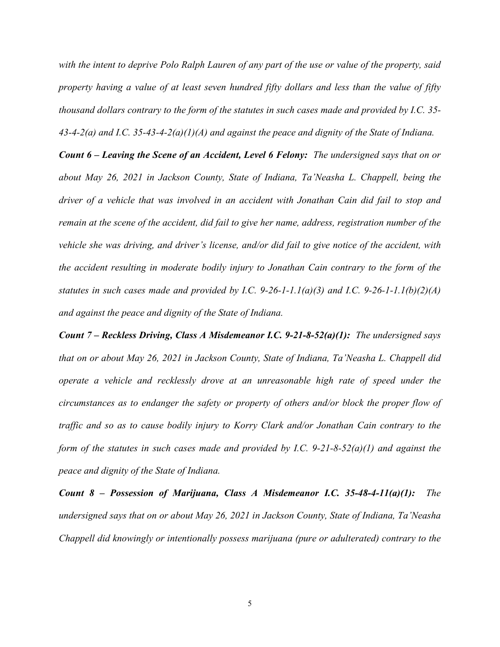*with the intent to deprive Polo Ralph Lauren of any part of the use or value of the property, said property having a value of at least seven hundred fifty dollars and less than the value of fifty thousand dollars contrary to the form of the statutes in such cases made and provided by I.C. 35- 43-4-2(a) and I.C. 35-43-4-2(a)(1)(A) and against the peace and dignity of the State of Indiana.*

*Count 6 – Leaving the Scene of an Accident, Level 6 Felony: The undersigned says that on or about May 26, 2021 in Jackson County, State of Indiana, Ta'Neasha L. Chappell, being the driver of a vehicle that was involved in an accident with Jonathan Cain did fail to stop and remain at the scene of the accident, did fail to give her name, address, registration number of the vehicle she was driving, and driver's license, and/or did fail to give notice of the accident, with the accident resulting in moderate bodily injury to Jonathan Cain contrary to the form of the statutes in such cases made and provided by I.C. 9-26-1-1.1(a)(3) and I.C. 9-26-1-1.1(b)(2)(A) and against the peace and dignity of the State of Indiana.*

*Count 7 – Reckless Driving, Class A Misdemeanor I.C. 9-21-8-52(a)(1): The undersigned says that on or about May 26, 2021 in Jackson County, State of Indiana, Ta'Neasha L. Chappell did operate a vehicle and recklessly drove at an unreasonable high rate of speed under the circumstances as to endanger the safety or property of others and/or block the proper flow of traffic and so as to cause bodily injury to Korry Clark and/or Jonathan Cain contrary to the form of the statutes in such cases made and provided by I.C. 9-21-8-52(a)(1) and against the peace and dignity of the State of Indiana.*

*Count 8 – Possession of Marijuana, Class A Misdemeanor I.C. 35-48-4-11(a)(1): The undersigned says that on or about May 26, 2021 in Jackson County, State of Indiana, Ta'Neasha Chappell did knowingly or intentionally possess marijuana (pure or adulterated) contrary to the*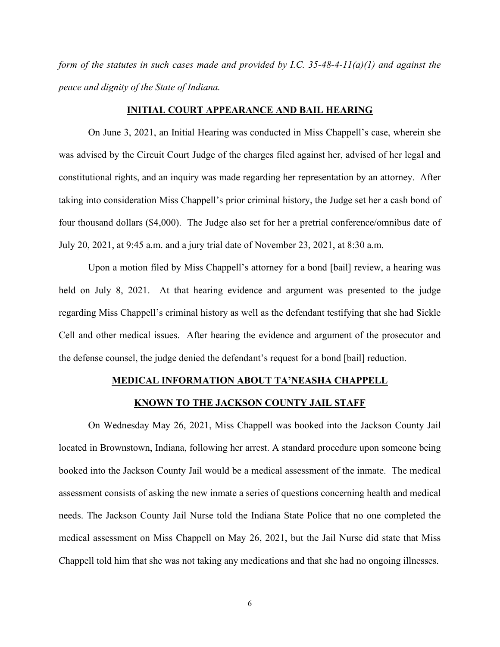*form of the statutes in such cases made and provided by I.C. 35-48-4-11(a)(1) and against the peace and dignity of the State of Indiana.*

#### **INITIAL COURT APPEARANCE AND BAIL HEARING**

On June 3, 2021, an Initial Hearing was conducted in Miss Chappell's case, wherein she was advised by the Circuit Court Judge of the charges filed against her, advised of her legal and constitutional rights, and an inquiry was made regarding her representation by an attorney. After taking into consideration Miss Chappell's prior criminal history, the Judge set her a cash bond of four thousand dollars (\$4,000). The Judge also set for her a pretrial conference/omnibus date of July 20, 2021, at 9:45 a.m. and a jury trial date of November 23, 2021, at 8:30 a.m.

Upon a motion filed by Miss Chappell's attorney for a bond [bail] review, a hearing was held on July 8, 2021. At that hearing evidence and argument was presented to the judge regarding Miss Chappell's criminal history as well as the defendant testifying that she had Sickle Cell and other medical issues. After hearing the evidence and argument of the prosecutor and the defense counsel, the judge denied the defendant's request for a bond [bail] reduction.

### **MEDICAL INFORMATION ABOUT TA'NEASHA CHAPPELL**

### **KNOWN TO THE JACKSON COUNTY JAIL STAFF**

On Wednesday May 26, 2021, Miss Chappell was booked into the Jackson County Jail located in Brownstown, Indiana, following her arrest. A standard procedure upon someone being booked into the Jackson County Jail would be a medical assessment of the inmate. The medical assessment consists of asking the new inmate a series of questions concerning health and medical needs. The Jackson County Jail Nurse told the Indiana State Police that no one completed the medical assessment on Miss Chappell on May 26, 2021, but the Jail Nurse did state that Miss Chappell told him that she was not taking any medications and that she had no ongoing illnesses.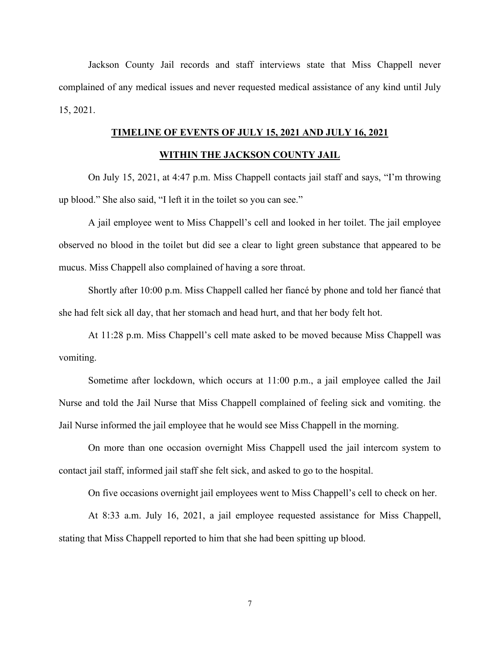Jackson County Jail records and staff interviews state that Miss Chappell never complained of any medical issues and never requested medical assistance of any kind until July 15, 2021.

# **TIMELINE OF EVENTS OF JULY 15, 2021 AND JULY 16, 2021**

### **WITHIN THE JACKSON COUNTY JAIL**

On July 15, 2021, at 4:47 p.m. Miss Chappell contacts jail staff and says, "I'm throwing up blood." She also said, "I left it in the toilet so you can see."

A jail employee went to Miss Chappell's cell and looked in her toilet. The jail employee observed no blood in the toilet but did see a clear to light green substance that appeared to be mucus. Miss Chappell also complained of having a sore throat.

Shortly after 10:00 p.m. Miss Chappell called her fiancé by phone and told her fiancé that she had felt sick all day, that her stomach and head hurt, and that her body felt hot.

At 11:28 p.m. Miss Chappell's cell mate asked to be moved because Miss Chappell was vomiting.

Sometime after lockdown, which occurs at 11:00 p.m., a jail employee called the Jail Nurse and told the Jail Nurse that Miss Chappell complained of feeling sick and vomiting. the Jail Nurse informed the jail employee that he would see Miss Chappell in the morning.

On more than one occasion overnight Miss Chappell used the jail intercom system to contact jail staff, informed jail staff she felt sick, and asked to go to the hospital.

On five occasions overnight jail employees went to Miss Chappell's cell to check on her.

At 8:33 a.m. July 16, 2021, a jail employee requested assistance for Miss Chappell, stating that Miss Chappell reported to him that she had been spitting up blood.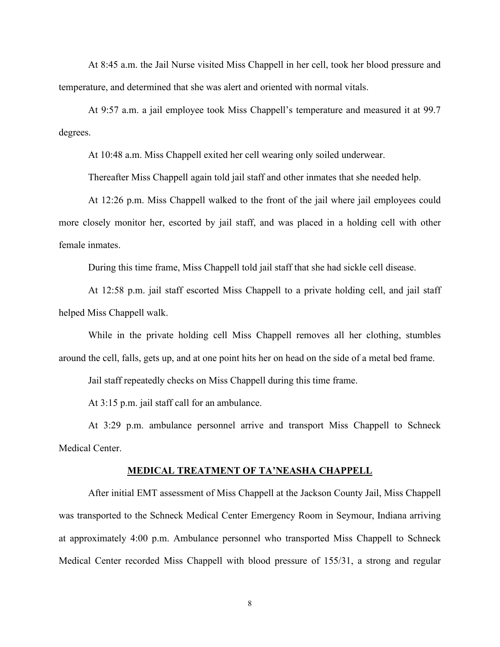At 8:45 a.m. the Jail Nurse visited Miss Chappell in her cell, took her blood pressure and temperature, and determined that she was alert and oriented with normal vitals.

At 9:57 a.m. a jail employee took Miss Chappell's temperature and measured it at 99.7 degrees.

At 10:48 a.m. Miss Chappell exited her cell wearing only soiled underwear.

Thereafter Miss Chappell again told jail staff and other inmates that she needed help.

At 12:26 p.m. Miss Chappell walked to the front of the jail where jail employees could more closely monitor her, escorted by jail staff, and was placed in a holding cell with other female inmates.

During this time frame, Miss Chappell told jail staff that she had sickle cell disease.

At 12:58 p.m. jail staff escorted Miss Chappell to a private holding cell, and jail staff helped Miss Chappell walk.

While in the private holding cell Miss Chappell removes all her clothing, stumbles around the cell, falls, gets up, and at one point hits her on head on the side of a metal bed frame.

Jail staff repeatedly checks on Miss Chappell during this time frame.

At 3:15 p.m. jail staff call for an ambulance.

At 3:29 p.m. ambulance personnel arrive and transport Miss Chappell to Schneck Medical Center.

#### **MEDICAL TREATMENT OF TA'NEASHA CHAPPELL**

After initial EMT assessment of Miss Chappell at the Jackson County Jail, Miss Chappell was transported to the Schneck Medical Center Emergency Room in Seymour, Indiana arriving at approximately 4:00 p.m. Ambulance personnel who transported Miss Chappell to Schneck Medical Center recorded Miss Chappell with blood pressure of 155/31, a strong and regular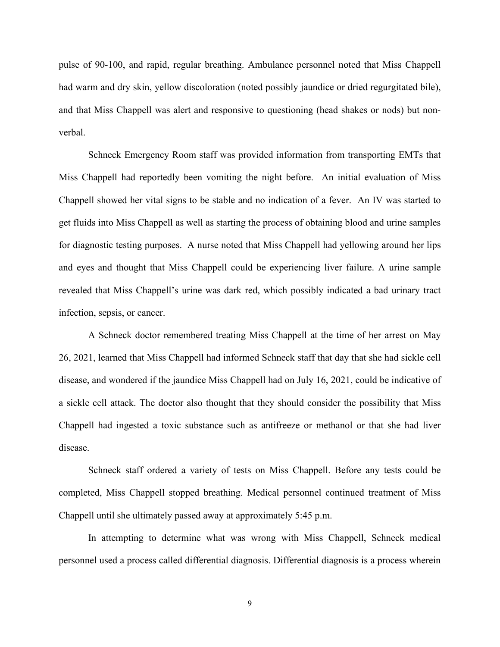pulse of 90-100, and rapid, regular breathing. Ambulance personnel noted that Miss Chappell had warm and dry skin, yellow discoloration (noted possibly jaundice or dried regurgitated bile), and that Miss Chappell was alert and responsive to questioning (head shakes or nods) but nonverbal.

Schneck Emergency Room staff was provided information from transporting EMTs that Miss Chappell had reportedly been vomiting the night before. An initial evaluation of Miss Chappell showed her vital signs to be stable and no indication of a fever. An IV was started to get fluids into Miss Chappell as well as starting the process of obtaining blood and urine samples for diagnostic testing purposes. A nurse noted that Miss Chappell had yellowing around her lips and eyes and thought that Miss Chappell could be experiencing liver failure. A urine sample revealed that Miss Chappell's urine was dark red, which possibly indicated a bad urinary tract infection, sepsis, or cancer.

A Schneck doctor remembered treating Miss Chappell at the time of her arrest on May 26, 2021, learned that Miss Chappell had informed Schneck staff that day that she had sickle cell disease, and wondered if the jaundice Miss Chappell had on July 16, 2021, could be indicative of a sickle cell attack. The doctor also thought that they should consider the possibility that Miss Chappell had ingested a toxic substance such as antifreeze or methanol or that she had liver disease.

Schneck staff ordered a variety of tests on Miss Chappell. Before any tests could be completed, Miss Chappell stopped breathing. Medical personnel continued treatment of Miss Chappell until she ultimately passed away at approximately 5:45 p.m.

In attempting to determine what was wrong with Miss Chappell, Schneck medical personnel used a process called differential diagnosis. Differential diagnosis is a process wherein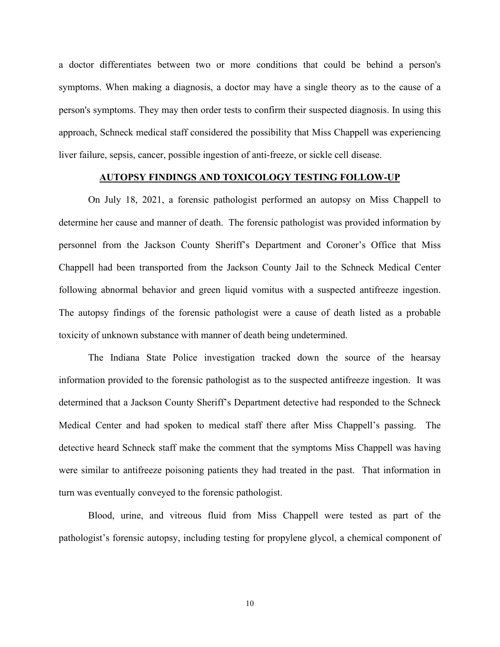a doctor differentiates between two or more conditions that could be behind a person's symptoms. When making a diagnosis, a doctor may have a single theory as to the cause of a person's symptoms. They may then order tests to confirm their suspected diagnosis. In using this approach, Schneck medical staff considered the possibility that Miss Chappell was experiencing liver failure, sepsis, cancer, possible ingestion of anti-freeze, or sickle cell disease.

### **AUTOPSY FINDINGS AND TOXICOLOGY TESTING FOLLOW-UP**

On July 18, 2021, a forensic pathologist performed an autopsy on Miss Chappell to determine her cause and manner of death. The forensic pathologist was provided information by personnel from the Jackson County Sheriff's Department and Coroner's Office that Miss Chappell had been transported from the Jackson County Jail to the Schneck Medical Center following abnormal behavior and green liquid vomitus with a suspected antifreeze ingestion. The autopsy findings of the forensic pathologist were a cause of death listed as a probable toxicity of unknown substance with manner of death being undetermined.

The Indiana State Police investigation tracked down the source of the hearsay information provided to the forensic pathologist as to the suspected antifreeze ingestion. It was determined that a Jackson County Sheriff's Department detective had responded to the Schneck Medical Center and had spoken to medical staff there after Miss Chappell's passing. The detective heard Schneck staff make the comment that the symptoms Miss Chappell was having were similar to antifreeze poisoning patients they had treated in the past. That information in turn was eventually conveyed to the forensic pathologist.

Blood, urine, and vitreous fluid from Miss Chappell were tested as part of the pathologist's forensic autopsy, including testing for propylene glycol, a chemical component of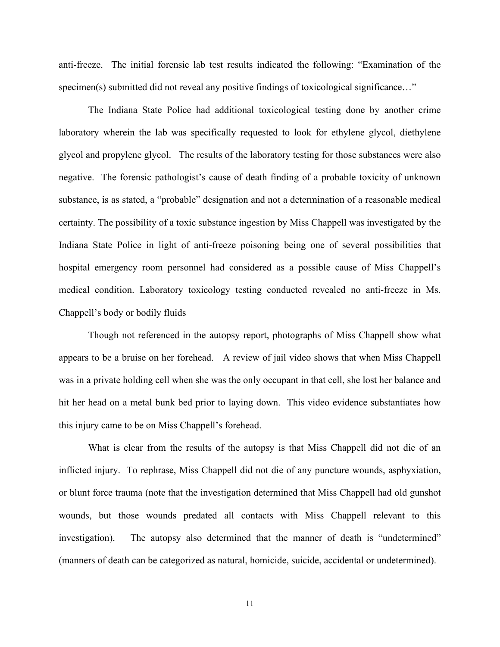anti-freeze. The initial forensic lab test results indicated the following: "Examination of the specimen(s) submitted did not reveal any positive findings of toxicological significance..."

The Indiana State Police had additional toxicological testing done by another crime laboratory wherein the lab was specifically requested to look for ethylene glycol, diethylene glycol and propylene glycol. The results of the laboratory testing for those substances were also negative. The forensic pathologist's cause of death finding of a probable toxicity of unknown substance, is as stated, a "probable" designation and not a determination of a reasonable medical certainty. The possibility of a toxic substance ingestion by Miss Chappell was investigated by the Indiana State Police in light of anti-freeze poisoning being one of several possibilities that hospital emergency room personnel had considered as a possible cause of Miss Chappell's medical condition. Laboratory toxicology testing conducted revealed no anti-freeze in Ms. Chappell's body or bodily fluids

Though not referenced in the autopsy report, photographs of Miss Chappell show what appears to be a bruise on her forehead. A review of jail video shows that when Miss Chappell was in a private holding cell when she was the only occupant in that cell, she lost her balance and hit her head on a metal bunk bed prior to laying down. This video evidence substantiates how this injury came to be on Miss Chappell's forehead.

What is clear from the results of the autopsy is that Miss Chappell did not die of an inflicted injury. To rephrase, Miss Chappell did not die of any puncture wounds, asphyxiation, or blunt force trauma (note that the investigation determined that Miss Chappell had old gunshot wounds, but those wounds predated all contacts with Miss Chappell relevant to this investigation). The autopsy also determined that the manner of death is "undetermined" (manners of death can be categorized as natural, homicide, suicide, accidental or undetermined).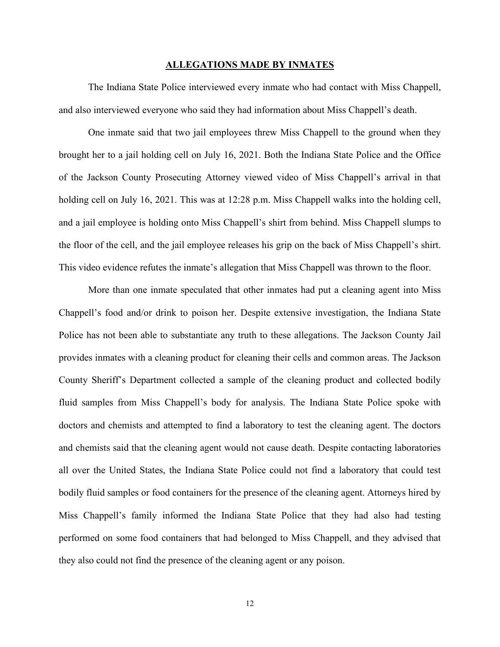#### **ALLEGATIONS MADE BY INMATES**

The Indiana State Police interviewed every inmate who had contact with Miss Chappell, and also interviewed everyone who said they had information about Miss Chappell's death.

One inmate said that two jail employees threw Miss Chappell to the ground when they brought her to a jail holding cell on July 16, 2021. Both the Indiana State Police and the Office of the Jackson County Prosecuting Attorney viewed video of Miss Chappell's arrival in that holding cell on July 16, 2021. This was at 12:28 p.m. Miss Chappell walks into the holding cell, and a jail employee is holding onto Miss Chappell's shirt from behind. Miss Chappell slumps to the floor of the cell, and the jail employee releases his grip on the back of Miss Chappell's shirt. This video evidence refutes the inmate's allegation that Miss Chappell was thrown to the floor.

More than one inmate speculated that other inmates had put a cleaning agent into Miss Chappell's food and/or drink to poison her. Despite extensive investigation, the Indiana State Police has not been able to substantiate any truth to these allegations. The Jackson County Jail provides inmates with a cleaning product for cleaning their cells and common areas. The Jackson County Sheriff's Department collected a sample of the cleaning product and collected bodily fluid samples from Miss Chappell's body for analysis. The Indiana State Police spoke with doctors and chemists and attempted to find a laboratory to test the cleaning agent. The doctors and chemists said that the cleaning agent would not cause death. Despite contacting laboratories all over the United States, the Indiana State Police could not find a laboratory that could test bodily fluid samples or food containers for the presence of the cleaning agent. Attorneys hired by Miss Chappell's family informed the Indiana State Police that they had also had testing performed on some food containers that had belonged to Miss Chappell, and they advised that they also could not find the presence of the cleaning agent or any poison.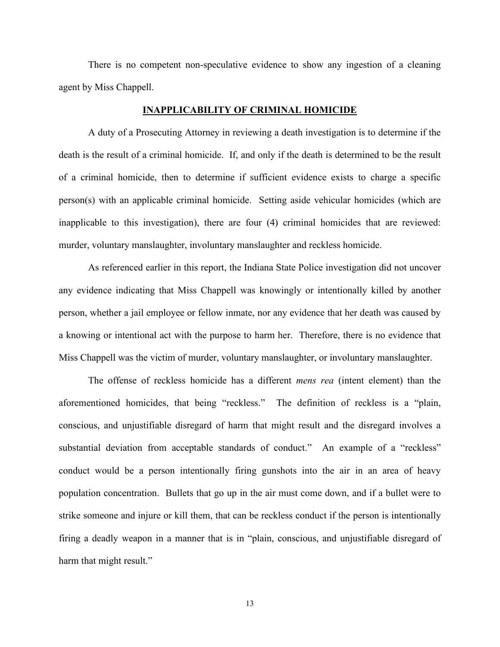There is no competent non-speculative evidence to show any ingestion of a cleaning agent by Miss Chappell.

### **INAPPLICABILITY OF CRIMINAL HOMICIDE**

A duty of a Prosecuting Attorney in reviewing a death investigation is to determine if the death is the result of a criminal homicide. If, and only if the death is determined to be the result of a criminal homicide, then to determine if sufficient evidence exists to charge a specific person(s) with an applicable criminal homicide. Setting aside vehicular homicides (which are inapplicable to this investigation), there are four (4) criminal homicides that are reviewed: murder, voluntary manslaughter, involuntary manslaughter and reckless homicide.

As referenced earlier in this report, the Indiana State Police investigation did not uncover any evidence indicating that Miss Chappell was knowingly or intentionally killed by another person, whether a jail employee or fellow inmate, nor any evidence that her death was caused by a knowing or intentional act with the purpose to harm her. Therefore, there is no evidence that Miss Chappell was the victim of murder, voluntary manslaughter, or involuntary manslaughter.

The offense of reckless homicide has a different *mens rea* (intent element) than the aforementioned homicides, that being "reckless." The definition of reckless is a "plain, conscious, and unjustifiable disregard of harm that might result and the disregard involves a substantial deviation from acceptable standards of conduct." An example of a "reckless" conduct would be a person intentionally firing gunshots into the air in an area of heavy population concentration. Bullets that go up in the air must come down, and if a bullet were to strike someone and injure or kill them, that can be reckless conduct if the person is intentionally firing a deadly weapon in a manner that is in "plain, conscious, and unjustifiable disregard of harm that might result."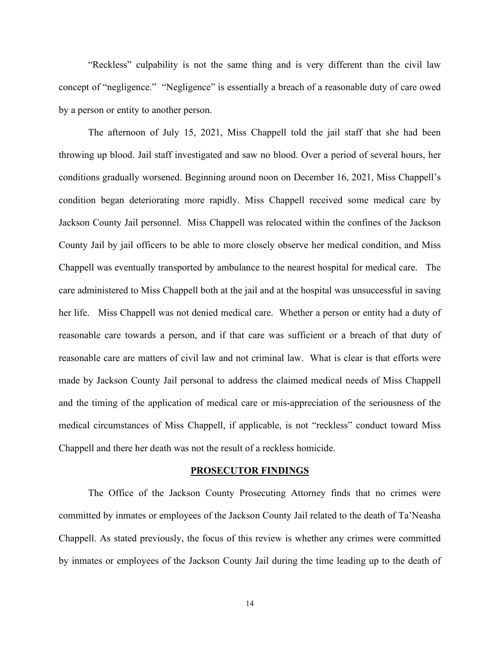"Reckless" culpability is not the same thing and is very different than the civil law concept of "negligence." "Negligence" is essentially a breach of a reasonable duty of care owed by a person or entity to another person.

The afternoon of July 15, 2021, Miss Chappell told the jail staff that she had been throwing up blood. Jail staff investigated and saw no blood. Over a period of several hours, her conditions gradually worsened. Beginning around noon on December 16, 2021, Miss Chappell's condition began deteriorating more rapidly. Miss Chappell received some medical care by Jackson County Jail personnel. Miss Chappell was relocated within the confines of the Jackson County Jail by jail officers to be able to more closely observe her medical condition, and Miss Chappell was eventually transported by ambulance to the nearest hospital for medical care. The care administered to Miss Chappell both at the jail and at the hospital was unsuccessful in saving her life. Miss Chappell was not denied medical care. Whether a person or entity had a duty of reasonable care towards a person, and if that care was sufficient or a breach of that duty of reasonable care are matters of civil law and not criminal law. What is clear is that efforts were made by Jackson County Jail personal to address the claimed medical needs of Miss Chappell and the timing of the application of medical care or mis-appreciation of the seriousness of the medical circumstances of Miss Chappell, if applicable, is not "reckless" conduct toward Miss Chappell and there her death was not the result of a reckless homicide.

#### **PROSECUTOR FINDINGS**

The Office of the Jackson County Prosecuting Attorney finds that no crimes were committed by inmates or employees of the Jackson County Jail related to the death of Ta'Neasha Chappell. As stated previously, the focus of this review is whether any crimes were committed by inmates or employees of the Jackson County Jail during the time leading up to the death of